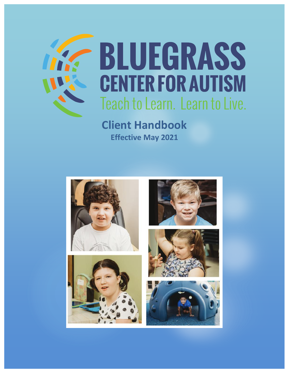

# **BLUEGRASS CENTER FOR AUTISM** Teach to Learn. Learn to Live.

**Client Handbook Effective May 2021**









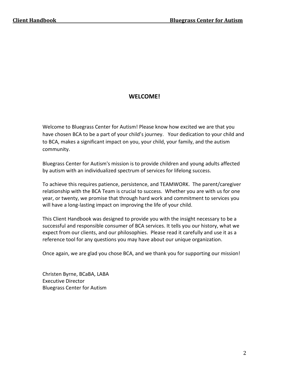## **WELCOME!**

Welcome to Bluegrass Center for Autism! Please know how excited we are that you have chosen BCA to be a part of your child's journey. Your dedication to your child and to BCA, makes a significant impact on you, your child, your family, and the autism community.

Bluegrass Center for Autism's mission is to provide children and young adults affected by autism with an individualized spectrum of services for lifelong success.

To achieve this requires patience, persistence, and TEAMWORK. The parent/caregiver relationship with the BCA Team is crucial to success. Whether you are with us for one year, or twenty, we promise that through hard work and commitment to services you will have a long-lasting impact on improving the life of your child.

This Client Handbook was designed to provide you with the insight necessary to be a successful and responsible consumer of BCA services. It tells you our history, what we expect from our clients, and our philosophies. Please read it carefully and use it as a reference tool for any questions you may have about our unique organization.

Once again, we are glad you chose BCA, and we thank you for supporting our mission!

Christen Byrne, BCaBA, LABA Executive Director Bluegrass Center for Autism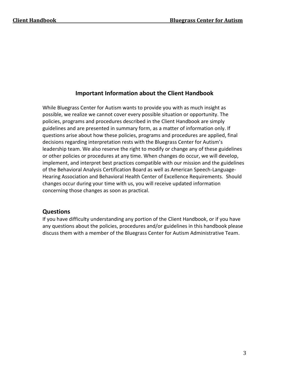#### **Important Information about the Client Handbook**

While Bluegrass Center for Autism wants to provide you with as much insight as possible, we realize we cannot cover every possible situation or opportunity. The policies, programs and procedures described in the Client Handbook are simply guidelines and are presented in summary form, as a matter of information only. If questions arise about how these policies, programs and procedures are applied, final decisions regarding interpretation rests with the Bluegrass Center for Autism's leadership team. We also reserve the right to modify or change any of these guidelines or other policies or procedures at any time. When changes do occur, we will develop, implement, and interpret best practices compatible with our mission and the guidelines of the Behavioral Analysis Certification Board as well as American Speech-Language-Hearing Association and Behavioral Health Center of Excellence Requirements. Should changes occur during your time with us, you will receive updated information concerning those changes as soon as practical.

#### **Questions**

If you have difficulty understanding any portion of the Client Handbook, or if you have any questions about the policies, procedures and/or guidelines in this handbook please discuss them with a member of the Bluegrass Center for Autism Administrative Team.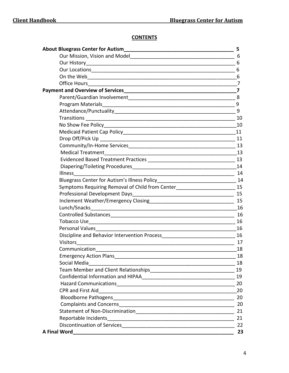# **CONTENTS**

|                                                                                                     | 5                       |
|-----------------------------------------------------------------------------------------------------|-------------------------|
|                                                                                                     | 6                       |
|                                                                                                     | 6                       |
|                                                                                                     | 6                       |
|                                                                                                     | 6                       |
|                                                                                                     |                         |
|                                                                                                     | $\overline{\mathbf{z}}$ |
|                                                                                                     |                         |
|                                                                                                     | 9                       |
|                                                                                                     | 9                       |
|                                                                                                     |                         |
|                                                                                                     | 10                      |
|                                                                                                     |                         |
|                                                                                                     |                         |
|                                                                                                     |                         |
| <b>Medical Treatment</b>                                                                            | 13                      |
|                                                                                                     | 13                      |
|                                                                                                     |                         |
| <b>Illness</b>                                                                                      | 14                      |
|                                                                                                     |                         |
| Symptoms Requiring Removal of Child from Center___________________________                          | 15                      |
| Professional Development Days                                                                       |                         |
|                                                                                                     | 15                      |
| Lunch/Snacks                                                                                        | 16                      |
|                                                                                                     | 16                      |
| Tobacco Use                                                                                         | 16                      |
|                                                                                                     |                         |
| Discipline and Behavior Intervention Process [19] [19] Discipline and Behavior Intervention Process | 16                      |
| <b>Visitors</b>                                                                                     | 17                      |
| Communication                                                                                       | 18                      |
| <b>Emergency Action Plans</b>                                                                       | 18                      |
|                                                                                                     | 18                      |
|                                                                                                     | 19                      |
|                                                                                                     | 19                      |
|                                                                                                     | 20                      |
|                                                                                                     | 20                      |
|                                                                                                     | 20                      |
|                                                                                                     | 20                      |
|                                                                                                     | 21                      |
|                                                                                                     | 21                      |
|                                                                                                     | 22                      |
| <b>A Final Word</b>                                                                                 | 23                      |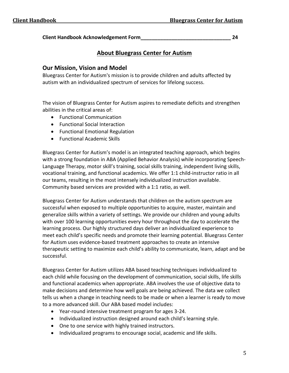**Client Handbook Acknowledgement Form\_\_\_\_\_\_\_\_\_\_\_\_\_\_\_\_\_\_\_\_\_\_\_\_\_\_\_\_\_\_\_\_ 24** 

# **About Bluegrass Center for Autism**

## **Our Mission, Vision and Model**

Bluegrass Center for Autism's mission is to provide children and adults affected by autism with an individualized spectrum of services for lifelong success.

The vision of Bluegrass Center for Autism aspires to remediate deficits and strengthen abilities in the critical areas of:

- Functional Communication
- Functional Social Interaction
- Functional Emotional Regulation
- Functional Academic Skills

Bluegrass Center for Autism's model is an integrated teaching approach, which begins with a strong foundation in ABA (Applied Behavior Analysis) while incorporating Speech-Language Therapy, motor skill's training, social skills training, independent living skills, vocational training, and functional academics. We offer 1:1 child-instructor ratio in all our teams, resulting in the most intensely individualized instruction available. Community based services are provided with a 1:1 ratio, as well.

Bluegrass Center for Autism understands that children on the autism spectrum are successful when exposed to multiple opportunities to acquire, master, maintain and generalize skills within a variety of settings. We provide our children and young adults with over 100 learning opportunities every hour throughout the day to accelerate the learning process. Our highly structured days deliver an individualized experience to meet each child's specific needs and promote their learning potential. Bluegrass Center for Autism uses evidence-based treatment approaches to create an intensive therapeutic setting to maximize each child's ability to communicate, learn, adapt and be successful.

Bluegrass Center for Autism utilizes ABA based teaching techniques individualized to each child while focusing on the development of communication, social skills, life skills and functional academics when appropriate. ABA involves the use of objective data to make decisions and determine how well goals are being achieved. The data we collect tells us when a change in teaching needs to be made or when a learner is ready to move to a more advanced skill. Our ABA based model includes:

- Year-round intensive treatment program for ages 3-24.
- Individualized instruction designed around each child's learning style.
- One to one service with highly trained instructors.
- Individualized programs to encourage social, academic and life skills.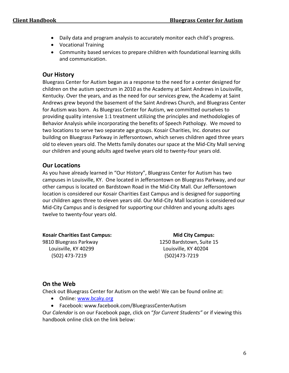- Daily data and program analysis to accurately monitor each child's progress.
- Vocational Training
- Community based services to prepare children with foundational learning skills and communication.

## **Our History**

Bluegrass Center for Autism began as a response to the need for a center designed for children on the autism spectrum in 2010 as the Academy at Saint Andrews in Louisville, Kentucky. Over the years, and as the need for our services grew, the Academy at Saint Andrews grew beyond the basement of the Saint Andrews Church, and Bluegrass Center for Autism was born. As Bluegrass Center for Autism, we committed ourselves to providing quality intensive 1:1 treatment utilizing the principles and methodologies of Behavior Analysis while incorporating the benefits of Speech Pathology. We moved to two locations to serve two separate age groups. Kosair Charities, Inc. donates our building on Bluegrass Parkway in Jeffersontown, which serves children aged three years old to eleven years old. The Metts family donates our space at the Mid-City Mall serving our children and young adults aged twelve years old to twenty-four years old.

# **Our Locations**

As you have already learned in "Our History", Bluegrass Center for Autism has two campuses in Louisville, KY. One located in Jeffersontown on Bluegrass Parkway, and our other campus is located on Bardstown Road in the Mid-City Mall. Our Jeffersontown location is considered our Kosair Charities East Campus and is designed for supporting our children ages three to eleven years old. Our Mid-City Mall location is considered our Mid-City Campus and is designed for supporting our children and young adults ages twelve to twenty-four years old.

Kosair Charities East Campus: **Mid City Campus:** Mid City Campus: 9810 Bluegrass Parkway 1250 Bardstown, Suite 15 Louisville, KY 40299 Louisville, KY 40204 (502) 473-7219 (502)473-7219

# **On the Web**

Check out Bluegrass Center for Autism on the web! We can be found online at:

- Online: [www.bcaky.org](http://www.bcaky.org/)
- Facebook[: www.facebook.com/BluegrassCenterAutism](http://www.facebook.com/BluegrassCenterAutism)

Our *Calendar* is on our Facebook page, click on "*for Current Students"* or if viewing this handbook online click on the link below: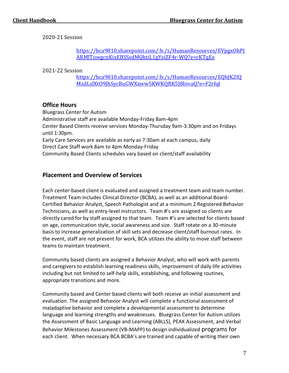2020-21 Session

[https://bca9810.sharepoint.com/:b:/s/HumanResources/EVpgxOhPJ](https://bca9810.sharepoint.com/:b:/s/HumanResources/EVpgxOhPJARMlTowgcnKixEBSSsdMQktiL1gYsiZF4r-WQ?e=cKTqEe) [ARMlTowgcnKixEBSSsdMQktiL1gYsiZF4r-WQ?e=cKTqEe](https://bca9810.sharepoint.com/:b:/s/HumanResources/EVpgxOhPJARMlTowgcnKixEBSSsdMQktiL1gYsiZF4r-WQ?e=cKTqEe)

2021-22 Session

https://bca9810.sharepoint.com/:b:/s/HumanResources/EQhJK2IQ MzdLslXtO9JhSycBuGWXxww5KWKQRK5J8bivaQ?e=F2rfql

#### **Office Hours**

Bluegrass Center for Autism Administrative staff are available Monday-Friday 8am-4pm Center Based Clients receive services Monday-Thursday 9am-3:30pm and on Fridays until 1:30pm. Early Care Services are available as early as 7:30am at each campus, daily Direct Care Staff work 8am to 4pm Monday-Friday Community Based Clients schedules vary based on client/staff availability

#### **Placement and Overview of Services**

Each center-based client is evaluated and assigned a treatment team and team number. Treatment Team includes Clinical Director (BCBA), as well as an additional Board-Certified Behavior Analyst, Speech Pathologist and at a minimum 2 Registered Behavior Technicians, as well as entry-level instructors. Team #'s are assigned so clients are directly cared for by staff assigned to that team. Team #'s are selected for clients based on age, communication style, social awareness and size. Staff rotate on a 30-minute basis to increase generalization of skill sets and decrease client/staff burnout rates. In the event, staff are not present for work, BCA utilizes the ability to move staff between teams to maintain treatment.

Community based clients are assigned a Behavior Analyst, who will work with parents and caregivers to establish learning readiness skills, improvement of daily life activities including but not limited to self-help skills, establishing, and following routines, appropriate transitions and more.

Community based and Center based clients will both receive an initial assessment and evaluation. The assigned Behavior Analyst will complete a functional assessment of maladaptive behavior and complete a developmental assessment to determine language and learning strengths and weaknesses. Bluegrass Center for Autism utilizes the Assessment of Basic Language and Learning (ABLLS), PEAK Assessment, and Verbal Behavior Milestones Assessment (VB-MAPP) to design individualized programs for each client. When necessary BCA BCBA's are trained and capable of writing their own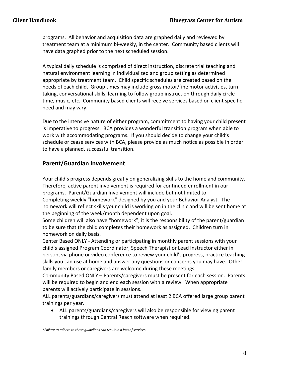programs. All behavior and acquisition data are graphed daily and reviewed by treatment team at a minimum bi-weekly, in the center. Community based clients will have data graphed prior to the next scheduled session.

A typical daily schedule is comprised of direct instruction, discrete trial teaching and natural environment learning in individualized and group setting as determined appropriate by treatment team. Child specific schedules are created based on the needs of each child. Group times may include gross motor/fine motor activities, turn taking, conversational skills, learning to follow group instruction through daily circle time, music, etc. Community based clients will receive services based on client specific need and may vary.

Due to the intensive nature of either program, commitment to having your child present is imperative to progress. BCA provides a wonderful transition program when able to work with accommodating programs. If you should decide to change your child's schedule or cease services with BCA, please provide as much notice as possible in order to have a planned, successful transition.

## **Parent/Guardian Involvement**

Your child's progress depends greatly on generalizing skills to the home and community. Therefore, active parent involvement is required for continued enrollment in our programs. Parent/Guardian Involvement will include but not limited to: Completing weekly "homework" designed by you and your Behavior Analyst. The

homework will reflect skills your child is working on in the clinic and will be sent home at the beginning of the week/month dependent upon goal.

Some children will also have "homework", it is the responsibility of the parent/guardian to be sure that the child completes their homework as assigned. Children turn in homework on daily basis.

Center Based ONLY - Attending or participating in monthly parent sessions with your child's assigned Program Coordinator, Speech Therapist or Lead Instructor either in person, via phone or video conference to review your child's progress, practice teaching skills you can use at home and answer any questions or concerns you may have. Other family members or caregivers are welcome during these meetings.

Community Based ONLY – Parents/caregivers must be present for each session. Parents will be required to begin and end each session with a review. When appropriate parents will actively participate in sessions.

ALL parents/guardians/caregivers must attend at least 2 BCA offered large group parent trainings per year.

• ALL parents/guardians/caregivers will also be responsible for viewing parent trainings through Central Reach software when required.

*\*Failure to adhere to these guidelines can result in a loss of services.*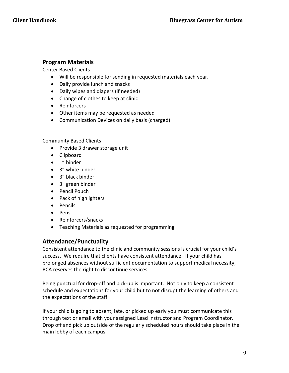#### **Program Materials**

Center Based Clients

- Will be responsible for sending in requested materials each year.
- Daily provide lunch and snacks
- Daily wipes and diapers (if needed)
- Change of clothes to keep at clinic
- Reinforcers
- Other items may be requested as needed
- Communication Devices on daily basis (charged)

#### Community Based Clients

- Provide 3 drawer storage unit
- Clipboard
- 1" binder
- 3" white binder
- 3" black binder
- 3" green binder
- Pencil Pouch
- Pack of highlighters
- Pencils
- Pens
- Reinforcers/snacks
- Teaching Materials as requested for programming

# **Attendance/Punctuality**

Consistent attendance to the clinic and community sessions is crucial for your child's success. We require that clients have consistent attendance. If your child has prolonged absences without sufficient documentation to support medical necessity, BCA reserves the right to discontinue services.

Being punctual for drop-off and pick-up is important. Not only to keep a consistent schedule and expectations for your child but to not disrupt the learning of others and the expectations of the staff.

If your child is going to absent, late, or picked up early you must communicate this through text or email with your assigned Lead Instructor and Program Coordinator. Drop off and pick up outside of the regularly scheduled hours should take place in the main lobby of each campus.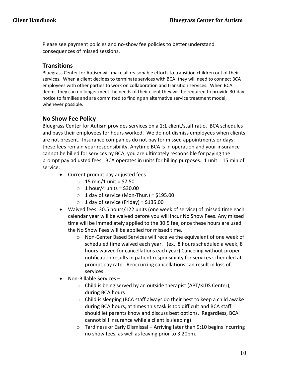Please see payment policies and no-show fee policies to better understand consequences of missed sessions.

## **Transitions**

Bluegrass Center for Autism will make all reasonable efforts to transition children out of their services. When a client decides to terminate services with BCA, they will need to connect BCA employees with other parties to work on collaboration and transition services. When BCA deems they can no longer meet the needs of their client they will be required to provide 30-day notice to families and are committed to finding an alternative service treatment model, whenever possible.

# **No Show Fee Policy**

Bluegrass Center for Autism provides services on a 1:1 client/staff ratio. BCA schedules and pays their employees for hours worked. We do not dismiss employees when clients are not present. Insurance companies do not pay for missed appointments or days; these fees remain your responsibility. Anytime BCA is in operation and your insurance cannot be billed for services by BCA, you are ultimately responsible for paying the prompt pay adjusted fees. BCA operates in units for billing purposes. 1 unit = 15 min of service.

- Current prompt pay adjusted fees
	- $\circ$  15 min/1 unit = \$7.50
	- $\circ$  1 hour/4 units = \$30.00
	- $\circ$  1 day of service (Mon-Thur.) = \$195.00
	- $\circ$  1 day of service (Friday) = \$135.00
- Waived fees: 30.5 hours/122 units (one week of service) of missed time each calendar year will be waived before you will incur No Show Fees. Any missed time will be immediately applied to the 30.5 fee, once these hours are used the No Show Fees will be applied for missed time.
	- o Non-Center Based Services will receive the equivalent of one week of scheduled time waived each year. (ex. 8 hours scheduled a week, 8 hours waived for cancellations each year) Canceling without proper notification results in patient responsibility for services scheduled at prompt pay rate. Reoccurring cancellations can result in loss of services.
- Non-Billable Services
	- o Child is being served by an outside therapist (APT/KIDS Center), during BCA hours
	- o Child is sleeping (BCA staff always do their best to keep a child awake during BCA hours, at times this task is too difficult and BCA staff should let parents know and discuss best options. Regardless, BCA cannot bill insurance while a client is sleeping)
	- o Tardiness or Early Dismissal Arriving later than 9:10 begins incurring no show fees, as well as leaving prior to 3:20pm.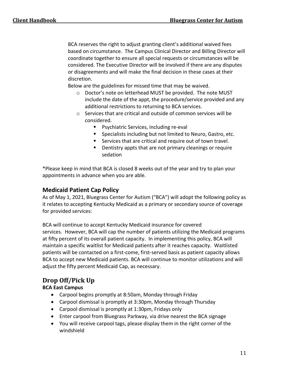BCA reserves the right to adjust granting client's additional waived fees based on circumstance. The Campus Clinical Director and Billing Director will coordinate together to ensure all special requests or circumstances will be considered. The Executive Director will be involved if there are any disputes or disagreements and will make the final decision in these cases at their discretion.

Below are the guidelines for missed time that may be waived.

- o Doctor's note on letterhead MUST be provided. The note MUST include the date of the appt, the procedure/service provided and any additional restrictions to returning to BCA services.
- o Services that are critical and outside of common services will be considered.
	- Psychiatric Services, including re-eval
	- Specialists including but not limited to Neuro, Gastro, etc.
	- Services that are critical and require out of town travel.
	- Dentistry appts that are not primary cleanings or require sedation

\*Please keep in mind that BCA is closed 8 weeks out of the year and try to plan your appointments in advance when you are able.

## **Medicaid Patient Cap Policy**

As of May 1, 2021, Bluegrass Center for Autism ("BCA") will adopt the following policy as it relates to accepting Kentucky Medicaid as a primary or secondary source of coverage for provided services:

BCA will continue to accept Kentucky Medicaid insurance for covered services. However, BCA will cap the number of patients utilizing the Medicaid programs at fifty percent of its overall patient capacity. In implementing this policy, BCA will maintain a specific waitlist for Medicaid patients after it reaches capacity. Waitlisted patients will be contacted on a first-come, first-served basis as patient capacity allows BCA to accept new Medicaid patients. BCA will continue to monitor utilizations and will adjust the fifty percent Medicaid Cap, as necessary.

# **Drop Off/Pick Up**

#### **BCA East Campus**

- Carpool begins promptly at 8:50am, Monday through Friday
- Carpool dismissal is promptly at 3:30pm, Monday through Thursday
- Carpool dismissal is promptly at 1:30pm, Fridays only
- Enter carpool from Bluegrass Parkway, via drive nearest the BCA signage
- You will receive carpool tags, please display them in the right corner of the windshield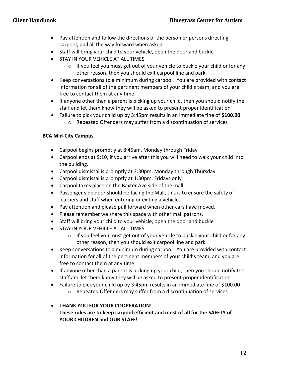- Pay attention and follow the directions of the person or persons directing carpool, pull all the way forward when asked
- Staff will bring your child to your vehicle, open the door and buckle
- STAY IN YOUR VEHICLE AT ALL TIMES
	- o If you feel you must get out of your vehicle to buckle your child or for any other reason, then you should exit carpool line and park.
- Keep conversations to a minimum during carpool. You are provided with contact information for all of the pertinent members of your child's team, and you are free to contact them at any time.
- If anyone other than a parent is picking up your child, then you should notify the staff and let them know they will be asked to present proper identification
- Failure to pick your child up by 3:45pm results in an immediate fine of **\$100.00**
	- o Repeated Offenders may suffer from a discontinuation of services

#### **BCA Mid-City Campus**

- Carpool begins promptly at 8:45am, Monday through Friday
- Carpool ends at 9:10, if you arrive after this you will need to walk your child into the building.
- Carpool dismissal is promptly at 3:30pm, Monday through Thursday
- Carpool dismissal is promptly at 1:30pm, Fridays only
- Carpool takes place on the Baxter Ave side of the mall.
- Passenger side door should be facing the Mall, this is to ensure the safety of learners and staff when entering or exiting a vehicle.
- Pay attention and please pull forward when other cars have moved.
- Please remember we share this space with other mall patrons.
- Staff will bring your child to your vehicle, open the door and buckle
- **STAY IN YOUR VEHICLE AT ALL TIMES** 
	- o If you feel you must get out of your vehicle to buckle your child or for any other reason, then you should exit carpool line and park.
- Keep conversations to a minimum during carpool. You are provided with contact information for all of the pertinent members of your child's team, and you are free to contact them at any time.
- If anyone other than a parent is picking up your child, then you should notify the staff and let them know they will be asked to present proper identification
- Failure to pick your child up by 3:45pm results in an immediate fine of \$100.00
	- o Repeated Offenders may suffer from a discontinuation of services

#### • **THANK YOU FOR YOUR COOPERATION! These rules are to keep carpool efficient and most of all for the SAFETY of YOUR CHILDREN and OUR STAFF!**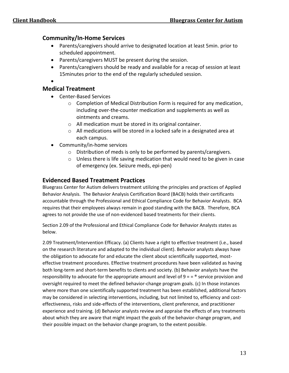#### **Community/In-Home Services**

- Parents/caregivers should arrive to designated location at least 5min. prior to scheduled appointment.
- Parents/caregivers MUST be present during the session.
- Parents/caregivers should be ready and available for a recap of session at least 15minutes prior to the end of the regularly scheduled session.

•

## **Medical Treatment**

- Center-Based Services
	- o Completion of Medical Distribution Form is required for any medication, including over-the-counter medication and supplements as well as ointments and creams.
	- o All medication must be stored in its original container.
	- o All medications will be stored in a locked safe in a designated area at each campus.
- Community/in-home services
	- o Distribution of meds is only to be performed by parents/caregivers.
	- o Unless there is life saving medication that would need to be given in case of emergency (ex. Seizure meds, epi-pen)

#### **Evidenced Based Treatment Practices**

Bluegrass Center for Autism delivers treatment utilizing the principles and practices of Applied Behavior Analysis. The Behavior Analysis Certification Board (BACB) holds their certificants accountable through the Professional and Ethical Compliance Code for Behavior Analysts. BCA requires that their employees always remain in good standing with the BACB. Therefore, BCA agrees to not provide the use of non-evidenced based treatments for their clients.

Section 2.09 of the Professional and Ethical Compliance Code for Behavior Analysts states as below.

2.09 Treatment/Intervention Efficacy. (a) Clients have a right to effective treatment (i.e., based on the research literature and adapted to the individual client). Behavior analysts always have the obligation to advocate for and educate the client about scientifically supported, mosteffective treatment procedures. Effective treatment procedures have been validated as having both long-term and short-term benefits to clients and society. (b) Behavior analysts have the responsibility to advocate for the appropriate amount and level of  $9 = e^{\circ}$  service provision and oversight required to meet the defined behavior-change program goals. (c) In those instances where more than one scientifically supported treatment has been established, additional factors may be considered in selecting interventions, including, but not limited to, efficiency and costeffectiveness, risks and side-effects of the interventions, client preference, and practitioner experience and training. (d) Behavior analysts review and appraise the effects of any treatments about which they are aware that might impact the goals of the behavior-change program, and their possible impact on the behavior change program, to the extent possible.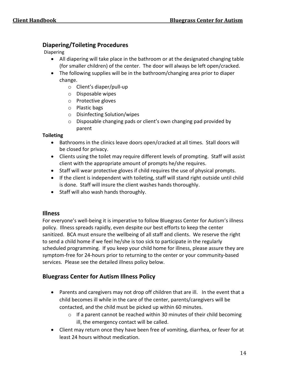## **Diapering/Toileting Procedures**

Diapering

- All diapering will take place in the bathroom or at the designated changing table (for smaller children) of the center. The door will always be left open/cracked.
- The following supplies will be in the bathroom/changing area prior to diaper change.
	- o Client's diaper/pull-up
	- o Disposable wipes
	- o Protective gloves
	- o Plastic bags
	- o Disinfecting Solution/wipes
	- o Disposable changing pads or client's own changing pad provided by parent

#### **Toileting**

- Bathrooms in the clinics leave doors open/cracked at all times. Stall doors will be closed for privacy.
- Clients using the toilet may require different levels of prompting. Staff will assist client with the appropriate amount of prompts he/she requires.
- Staff will wear protective gloves if child requires the use of physical prompts.
- If the client is independent with toileting, staff will stand right outside until child is done. Staff will insure the client washes hands thoroughly.
- Staff will also wash hands thoroughly.

#### **Illness**

For everyone's well-being it is imperative to follow Bluegrass Center for Autism's illness policy. Illness spreads rapidly, even despite our best efforts to keep the center sanitized. BCA must ensure the wellbeing of all staff and clients. We reserve the right to send a child home if we feel he/she is too sick to participate in the regularly scheduled programming. If you keep your child home for illness, please assure they are symptom-free for 24-hours prior to returning to the center or your community-based services. Please see the detailed illness policy below.

## **Bluegrass Center for Autism Illness Policy**

- Parents and caregivers may not drop off children that are ill. In the event that a child becomes ill while in the care of the center, parents/caregivers will be contacted, and the child must be picked up within 60 minutes.
	- $\circ$  If a parent cannot be reached within 30 minutes of their child becoming ill, the emergency contact will be called.
- Client may return once they have been free of vomiting, diarrhea, or fever for at least 24 hours without medication.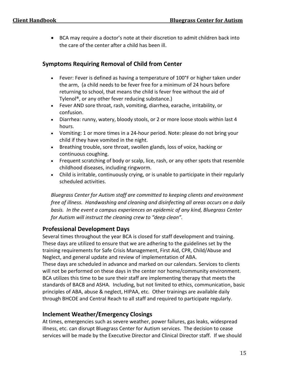• BCA may require a doctor's note at their discretion to admit children back into the care of the center after a child has been ill.

## **Symptoms Requiring Removal of Child from Center**

- Fever: Fever is defined as having a temperature of 100°F or higher taken under the arm, (a child needs to be fever free for a minimum of 24 hours before returning to school, that means the child is fever free without the aid of Tylenol®, or any other fever reducing substance.)
- Fever AND sore throat, rash, vomiting, diarrhea, earache, irritability, or confusion.
- Diarrhea: runny, watery, bloody stools, or 2 or more loose stools within last 4 hours.
- Vomiting: 1 or more times in a 24-hour period. Note: please do not bring your child if they have vomited in the night.
- Breathing trouble, sore throat, swollen glands, loss of voice, hacking or continuous coughing.
- Frequent scratching of body or scalp, lice, rash, or any other spots that resemble childhood diseases, including ringworm.
- Child is irritable, continuously crying, or is unable to participate in their regularly scheduled activities.

*Bluegrass Center for Autism staff are committed to keeping clients and environment free of illness. Handwashing and cleaning and disinfecting all areas occurs on a daily basis. In the event a campus experiences an epidemic of any kind, Bluegrass Center for Autism will instruct the cleaning crew to "deep clean".*

## **Professional Development Days**

Several times throughout the year BCA is closed for staff development and training. These days are utilized to ensure that we are adhering to the guidelines set by the training requirements for Safe Crisis Management, First Aid, CPR, Child/Abuse and Neglect, and general update and review of implementation of ABA.

These days are scheduled in advance and marked on our calendars. Services to clients will not be performed on these days in the center nor home/community environment. BCA utilizes this time to be sure their staff are implementing therapy that meets the standards of BACB and ASHA. Including, but not limited to ethics, communication, basic principles of ABA, abuse & neglect, HIPAA, etc. Other trainings are available daily through BHCOE and Central Reach to all staff and required to participate regularly.

# **Inclement Weather/Emergency Closings**

At times, emergencies such as severe weather, power failures, gas leaks, widespread illness, etc. can disrupt Bluegrass Center for Autism services. The decision to cease services will be made by the Executive Director and Clinical Director staff. If we should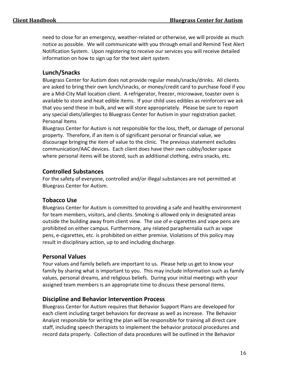need to close for an emergency, weather-related or otherwise, we will provide as much notice as possible. We will communicate with you through email and Remind Text Alert Notification System. Upon registering to receive our services you will receive detailed information on how to sign up for the text alert system.

# **Lunch/Snacks**

Bluegrass Center for Autism does not provide regular meals/snacks/drinks. All clients are asked to bring their own lunch/snacks, or money/credit card to purchase food if you are a Mid-City Mall location client. A refrigerator, freezer, microwave, toaster oven is available to store and heat edible items. If your child uses edibles as reinforcers we ask that you send these in bulk, and we will store appropriately. Please be sure to report any special diets/allergies to Bluegrass Center for Autism in your registration packet. Personal Items

Bluegrass Center for Autism is not responsible for the loss, theft, or damage of personal property. Therefore, if an item is of significant personal or financial value, we discourage bringing the item of value to the clinic. The previous statement excludes communication/AAC devices. Each client does have their own cubby/locker space where personal items will be stored, such as additional clothing, extra snacks, etc.

# **Controlled Substances**

For the safety of everyone, controlled and/or illegal substances are not permitted at Bluegrass Center for Autism.

# **Tobacco Use**

Bluegrass Center for Autism is committed to providing a safe and healthy environment for team members, visitors, and clients. Smoking is allowed only in designated areas outside the building away from client view. The use of e-cigarettes and vape pens are prohibited on either campus. Furthermore, any related paraphernalia such as vape pens, e-cigarettes, etc. is prohibited on either premise. Violations of this policy may result in disciplinary action, up to and including discharge.

## **Personal Values**

Your values and family beliefs are important to us. Please help us get to know your family by sharing what is important to you. This may include information such as family values, personal dreams, and religious beliefs. During your initial meetings with your assigned team members is an appropriate time to discuss these personal items.

## **Discipline and Behavior Intervention Process**

Bluegrass Center for Autism requires that Behavior Support Plans are developed for each client including target behaviors for decrease as well as increase. The Behavior Analyst responsible for writing the plan will be responsible for training all direct care staff, including speech therapists to implement the behavior protocol procedures and record data properly. Collection of data procedures will be outlined in the Behavior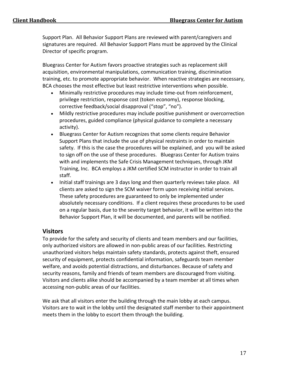Support Plan. All Behavior Support Plans are reviewed with parent/caregivers and signatures are required. All Behavior Support Plans must be approved by the Clinical Director of specific program.

Bluegrass Center for Autism favors proactive strategies such as replacement skill acquisition, environmental manipulations, communication training, discrimination training, etc. to promote appropriate behavior. When reactive strategies are necessary, BCA chooses the most effective but least restrictive interventions when possible.

- Minimally restrictive procedures may include time-out from reinforcement, privilege restriction, response cost (token economy), response blocking, corrective feedback/social disapproval ("stop", "no").
- Mildly restrictive procedures may include positive punishment or overcorrection procedures, guided compliance (physical guidance to complete a necessary activity).
- Bluegrass Center for Autism recognizes that some clients require Behavior Support Plans that include the use of physical restraints in order to maintain safety. If this is the case the procedures will be explained, and you will be asked to sign off on the use of these procedures. Bluegrass Center for Autism trains with and implements the Safe Crisis Management techniques, through JKM Training, Inc. BCA employs a JKM certified SCM instructor in order to train all staff.
- Initial staff trainings are 3 days long and then quarterly reviews take place. All clients are asked to sign the SCM waiver form upon receiving initial services. These safety procedures are guaranteed to only be implemented under absolutely necessary conditions. If a client requires these procedures to be used on a regular basis, due to the severity target behavior, it will be written into the Behavior Support Plan, it will be documented, and parents will be notified.

#### **Visitors**

To provide for the safety and security of clients and team members and our facilities, only authorized visitors are allowed in non-public areas of our facilities. Restricting unauthorized visitors helps maintain safety standards, protects against theft, ensured security of equipment, protects confidential information, safeguards team member welfare, and avoids potential distractions, and disturbances. Because of safety and security reasons, family and friends of team members are discouraged from visiting. Visitors and clients alike should be accompanied by a team member at all times when accessing non-public areas of our facilities.

We ask that all visitors enter the building through the main lobby at each campus. Visitors are to wait in the lobby until the designated staff member to their appointment meets them in the lobby to escort them through the building.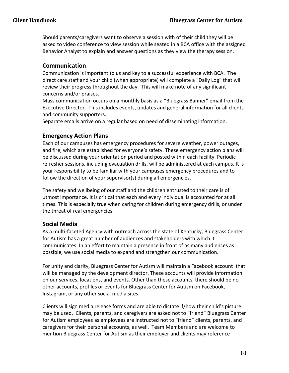Should parents/caregivers want to observe a session with of their child they will be asked to video conference to view session while seated in a BCA office with the assigned Behavior Analyst to explain and answer questions as they view the therapy session.

## **Communication**

Communication is important to us and key to a successful experience with BCA. The direct care staff and your child (when appropriate) will complete a "Daily Log" that will review their progress throughout the day. This will make note of any significant concerns and/or praises.

Mass communication occurs on a monthly basis as a "Bluegrass Banner" email from the Executive Director. This includes events, updates and general information for all clients and community supporters.

Separate emails arrive on a regular based on need of disseminating information.

# **Emergency Action Plans**

Each of our campuses has emergency procedures for severe weather, power outages, and fire, which are established for everyone's safety. These emergency action plans will be discussed during your orientation period and posted within each facility. Periodic refresher sessions, including evacuation drills, will be administered at each campus. It is your responsibility to be familiar with your campuses emergency procedures and to follow the direction of your supervisor(s) during all emergencies.

The safety and wellbeing of our staff and the children entrusted to their care is of utmost importance. It is critical that each and every individual is accounted for at all times. This is especially true when caring for children during emergency drills, or under the threat of real emergencies.

## **Social Media**

As a multi-faceted Agency with outreach across the state of Kentucky, Bluegrass Center for Autism has a great number of audiences and stakeholders with which it communicates. In an effort to maintain a presence in front of as many audiences as possible, we use social media to expand and strengthen our communication.

For unity and clarity, Bluegrass Center for Autism will maintain a Facebook account that will be managed by the development director. These accounts will provide information on our services, locations, and events. Other than these accounts, there should be no other accounts, profiles or events for Bluegrass Center for Autism on Facebook, Instagram, or any other social media sites.

Clients will sign media release forms and are able to dictate if/how their child's picture may be used. Clients, parents, and caregivers are asked not to "friend" Bluegrass Center for Autism employees as employees are instructed not to "friend" clients, parents, and caregivers for their personal accounts, as well. Team Members and are welcome to mention Bluegrass Center for Autism as their employer and clients may reference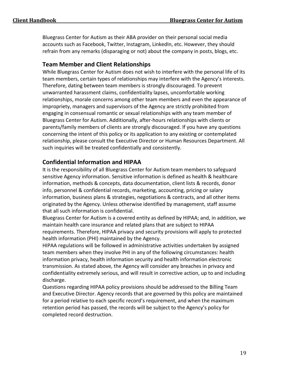Bluegrass Center for Autism as their ABA provider on their personal social media accounts such as Facebook, Twitter, Instagram, LinkedIn, etc. However, they should refrain from any remarks (disparaging or not) about the company in posts, blogs, etc.

# **Team Member and Client Relationships**

While Bluegrass Center for Autism does not wish to interfere with the personal life of its team members, certain types of relationships may interfere with the Agency's interests. Therefore, dating between team members is strongly discouraged. To prevent unwarranted harassment claims, confidentiality lapses, uncomfortable working relationships, morale concerns among other team members and even the appearance of impropriety, managers and supervisors of the Agency are strictly prohibited from engaging in consensual romantic or sexual relationships with any team member of Bluegrass Center for Autism. Additionally, after-hours relationships with clients or parents/family members of clients are strongly discouraged. If you have any questions concerning the intent of this policy or its application to any existing or contemplated relationship, please consult the Executive Director or Human Resources Department. All such inquiries will be treated confidentially and consistently.

# **Confidential Information and HIPAA**

It is the responsibility of all Bluegrass Center for Autism team members to safeguard sensitive Agency information. Sensitive information is defined as health & healthcare information, methods & concepts, data documentation, client lists & records, donor info, personnel & confidential records, marketing, accounting, pricing or salary information, business plans & strategies, negotiations & contracts, and all other items originated by the Agency. Unless otherwise identified by management, staff assume that all such information is confidential.

Bluegrass Center for Autism is a covered entity as defined by HIPAA; and, in addition, we maintain health care insurance and related plans that are subject to HIPAA requirements. Therefore, HIPAA privacy and security provisions will apply to protected health information (PHI) maintained by the Agency.

HIPAA regulations will be followed in administrative activities undertaken by assigned team members when they involve PHI in any of the following circumstances: health information privacy, health information security and health information electronic transmission. As stated above, the Agency will consider any breaches in privacy and confidentiality extremely serious, and will result in corrective action, up to and including discharge.

Questions regarding HIPAA policy provisions should be addressed to the Billing Team and Executive Director. Agency records that are governed by this policy are maintained for a period relative to each specific record's requirement, and when the maximum retention period has passed, the records will be subject to the Agency's policy for completed record destruction.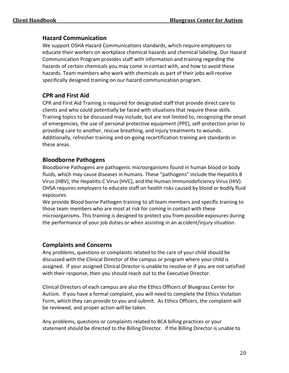## **Hazard Communication**

We support OSHA Hazard Communications standards, which require employers to educate their workers on workplace chemical hazards and chemical labeling. Our Hazard Communication Program provides staff with information and training regarding the hazards of certain chemicals you may come in contact with, and how to avoid these hazards. Team members who work with chemicals as part of their jobs will receive specifically designed training on our hazard communication program.

## **CPR and First Aid**

CPR and First Aid Training is required for designated staff that provide direct care to clients and who could potentially be faced with situations that require these skills. Training topics to be discussed may include, but are not limited to, recognizing the onset of emergencies, the use of personal protective equipment (PPE), self-protection prior to providing care to another, rescue breathing, and injury treatments to wounds. Additionally, refresher training and on-going recertification training are standards in these areas.

## **Bloodborne Pathogens**

Bloodborne Pathogens are pathogenic microorganisms found in human blood or body fluids, which may cause diseases in humans. These "pathogens" include the Hepatitis B Virus (HBV), the Hepatitis C Virus (HVC), and the Human Immunodeficiency Virus (HIV). OHSA requires employers to educate staff on health risks caused by blood or bodily fluid exposures.

We provide Blood borne Pathogen training to all team members and specific training to those team members who are most at risk for coming in contact with these microorganisms. This training is designed to protect you from possible exposures during the performance of your job duties or when assisting in an accident/injury situation.

## **Complaints and Concerns**

Any problems, questions or complaints related to the care of your child should be discussed with the Clinical Director of the campus or program where your child is assigned. If your assigned Clinical Director is unable to resolve or if you are not satisfied with their response, then you should reach out to the Executive Director.

Clinical Directors of each campus are also the Ethics Officers of Bluegrass Center for Autism. If you have a formal complaint, you will need to complete the Ethics Violation Form, which they can provide to you and submit. As Ethics Officers, the complaint will be reviewed, and proper action will be taken.

Any problems, questions or complaints related to BCA billing practices or your statement should be directed to the Billing Director. If the Billing Director is unable to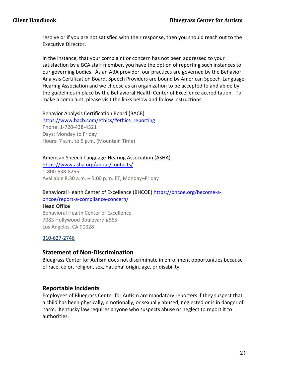resolve or if you are not satisfied with their response, then you should reach out to the Executive Director.

In the instance, that your complaint or concern has not been addressed to your satisfaction by a BCA staff member, you have the option of reporting such instances to our governing bodies. As an ABA provider, our practices are governed by the Behavior Analysis Certification Board, Speech Providers are bound by American Speech-Language-Hearing Association and we choose as an organization to be accepted to and abide by the guidelines in place by the Behavioral Health Center of Excellence accreditation. To make a complaint, please visit the links below and follow instructions.

Behavior Analysis Certification Board (BACB)

[https://www.bacb.com/ethics/#ethics\\_reporting](https://www.bacb.com/ethics/#ethics_reporting) Phone: 1-720-438-4321 Days: Monday to Friday Hours: 7 a.m. to 5 p.m. (Mountain Time)

## American Speech-Language-Hearing Association (ASHA)

<https://www.asha.org/about/contacts/> 1-800-638-8255

Available 8:30 a.m. – 5:00 p.m. ET, Monday–Friday

#### Behavioral Health Center of Excellence (BHCOE) [https://bhcoe.org/become-a](https://bhcoe.org/become-a-bhcoe/report-a-compliance-concern/)[bhcoe/report-a-compliance-concern/](https://bhcoe.org/become-a-bhcoe/report-a-compliance-concern/)

**Head Office** Behavioral Health Center of Excellence 7083 Hollywood Boulevard #565 Los Angeles, CA 90028

#### [310-627-2746](tel:+310-627-2746)

#### **Statement of Non-Discrimination**

Bluegrass Center for Autism does not discriminate in enrollment opportunities because of race, color, religion, sex, national origin, age, or disability.

#### **Reportable Incidents**

Employees of Bluegrass Center for Autism are mandatory reporters if they suspect that a child has been physically, emotionally, or sexually abused, neglected or is in danger of harm. Kentucky law requires anyone who suspects abuse or neglect to report it to authorities.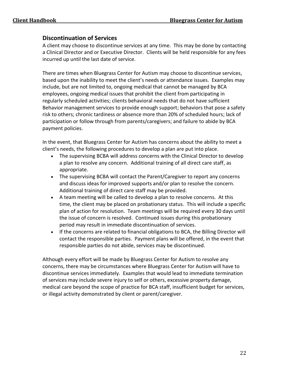#### **Discontinuation of Services**

A client may choose to discontinue services at any time. This may be done by contacting a Clinical Director and or Executive Director. Clients will be held responsible for any fees incurred up until the last date of service.

There are times when Bluegrass Center for Autism may choose to discontinue services, based upon the inability to meet the client's needs or attendance issues. Examples may include, but are not limited to, ongoing medical that cannot be managed by BCA employees, ongoing medical issues that prohibit the client from participating in regularly scheduled activities; clients behavioral needs that do not have sufficient Behavior management services to provide enough support; behaviors that pose a safety risk to others; chronic tardiness or absence more than 20% of scheduled hours; lack of participation or follow through from parents/caregivers; and failure to abide by BCA payment policies.

In the event, that Bluegrass Center for Autism has concerns about the ability to meet a client's needs, the following procedures to develop a plan are put into place.

- The supervising BCBA will address concerns with the Clinical Director to develop a plan to resolve any concern. Additional training of all direct care staff, as appropriate.
- The supervising BCBA will contact the Parent/Caregiver to report any concerns and discuss ideas for improved supports and/or plan to resolve the concern. Additional training of direct care staff may be provided.
- A team meeting will be called to develop a plan to resolve concerns. At this time, the client may be placed on probationary status. This will include a specific plan of action for resolution. Team meetings will be required every 30 days until the issue of concern is resolved. Continued issues during this probationary period may result in immediate discontinuation of services.
- If the concerns are related to financial obligations to BCA, the Billing Director will contact the responsible parties. Payment plans will be offered, in the event that responsible parties do not abide, services may be discontinued.

Although every effort will be made by Bluegrass Center for Autism to resolve any concerns, there may be circumstances where Bluegrass Center for Autism will have to discontinue services immediately. Examples that would lead to immediate termination of services may include severe injury to self or others, excessive property damage, medical care beyond the scope of practice for BCA staff, insufficient budget for services, or illegal activity demonstrated by client or parent/caregiver.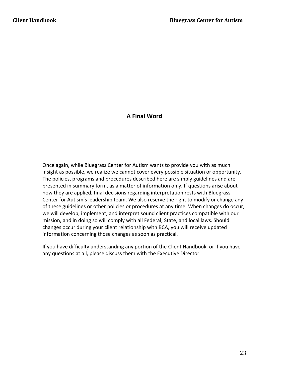# **A Final Word**

Once again, while Bluegrass Center for Autism wants to provide you with as much insight as possible, we realize we cannot cover every possible situation or opportunity. The policies, programs and procedures described here are simply guidelines and are presented in summary form, as a matter of information only. If questions arise about how they are applied, final decisions regarding interpretation rests with Bluegrass Center for Autism's leadership team. We also reserve the right to modify or change any of these guidelines or other policies or procedures at any time. When changes do occur, we will develop, implement, and interpret sound client practices compatible with our mission, and in doing so will comply with all Federal, State, and local laws. Should changes occur during your client relationship with BCA, you will receive updated information concerning those changes as soon as practical.

If you have difficulty understanding any portion of the Client Handbook, or if you have any questions at all, please discuss them with the Executive Director.